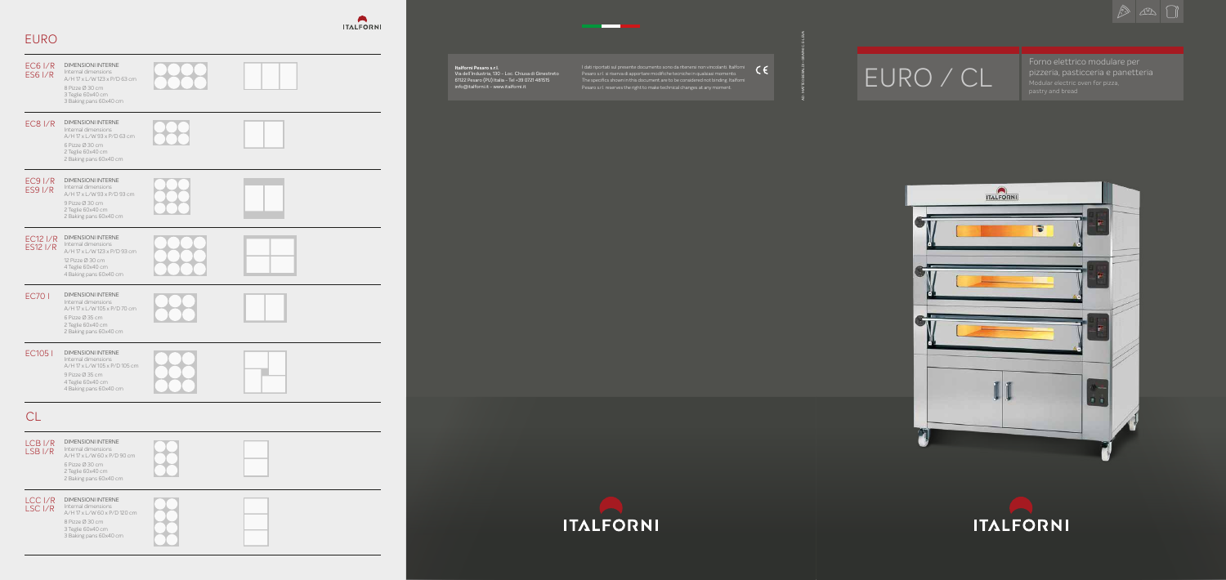EURO / CL

Forno elettrico modulare per pizzeria, pasticceria e panetteria Modular electric oven for pizza, pastry and bread





| <b>EC6 I/R</b><br><b>ES6 I/R</b>         | <b>DIMENSIONI INTERNE</b><br>Internal dimensions<br>A/H 17 x L/W 123 x P/D 63 cm<br>8 Pizze Ø 30 cm<br>3 Teglie 60x40 cm<br>3 Baking pans 60x40 cm  |  |
|------------------------------------------|-----------------------------------------------------------------------------------------------------------------------------------------------------|--|
| <b>EC8 I/R</b>                           | <b>DIMENSIONI INTERNE</b><br>Internal dimensions<br>A/H 17 x L/W 93 x P/D 63 cm<br>6 Pizze Ø 30 cm<br>2 Teglie 60x40 cm<br>2 Baking pans 60x40 cm   |  |
| $EC9$ I/R<br><b>ES9 I/R</b>              | <b>DIMENSIONI INTERNE</b><br>Internal dimensions<br>A/H 17 x L/W 93 x P/D 93 cm<br>9 Pizze Ø 30 cm<br>2 Teglie 60x40 cm<br>2 Baking pans 60x40 cm   |  |
| <b>EC12 I/R</b><br><b>ES12 I/R</b>       | <b>DIMENSIONI INTERNE</b><br>Internal dimensions<br>A/H 17 x L/W 123 x P/D 93 cm<br>12 Pizze Ø 30 cm<br>4 Teglie 60x40 cm<br>4 Baking pans 60x40 cm |  |
| <b>EC701</b>                             | <b>DIMENSIONI INTERNE</b><br>Internal dimensions<br>A/H 17 x L/W 105 x P/D 70 cm<br>6 Pizze Ø 35 cm<br>2 Teglie 60x40 cm<br>2 Baking pans 60x40 cm  |  |
| <b>EC1051</b>                            | <b>DIMENSIONI INTERNE</b><br>Internal dimensions<br>A/H 17 x L/W 105 x P/D 105 cm<br>9 Pizze Ø 35 cm<br>4 Teglie 60x40 cm<br>4 Baking pans 60x40 cm |  |
| <b>CL</b>                                |                                                                                                                                                     |  |
| LCB <sub>I/R</sub><br>LSB <sub>I/R</sub> | <b>DIMENSIONI INTERNE</b><br>Internal dimensions<br>A/H 17 x L/W 60 x P/D 90 cm<br>6 Pizze Ø 30 cm<br>2 Teglie 60x40 cm<br>2 Baking pans 60x40 cm   |  |
| LCC I/R<br>LSC <sub>I/R</sub>            | <b>DIMENSIONI INTERNE</b><br>Internal dimensions<br>A/H 17 x L/W 60 x P/D 120 cm<br>8 Pizze Ø 30 cm<br>3 Teglie 60x40 cm<br>3 Baking pans 60x40 cm  |  |



# EURO

#### **Italforni Pesaro s.r.l.**

Via dell'Industria, 130 - Loc. Chiusa di Ginestreto 61122 Pesaro (PU) Italia - Tel +39 0721 481515 info@italforni.it - www.italforni.it

I dati riportati sul presente documento sono da ritenersi non vincolanti. Italforni Pesaro s.r.l. si riserva di apportare modifiche tecniche in qualsiasi momento. The specifics shown in this document are to be considered not binding. Italforni Pesaro s.r.l. reserves the right to make technical changes at any moment.

<u>a sa sa</u>





AD: MATTEO BERALDI + GRAPHIC: E-LEVA